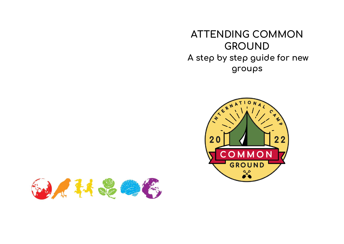**ATTENDING COMMON GROUND A step by step guide for new groups**



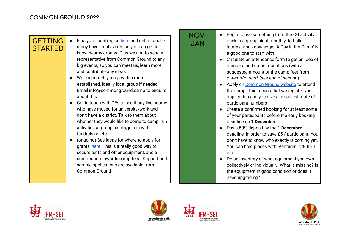|                                  |                                                                                                                                                                                                                                                                                                                                                                                                                                                                                                                                                                                                                                                                                                                                                                                                                                                                                                                           | IN V V |
|----------------------------------|---------------------------------------------------------------------------------------------------------------------------------------------------------------------------------------------------------------------------------------------------------------------------------------------------------------------------------------------------------------------------------------------------------------------------------------------------------------------------------------------------------------------------------------------------------------------------------------------------------------------------------------------------------------------------------------------------------------------------------------------------------------------------------------------------------------------------------------------------------------------------------------------------------------------------|--------|
| <b>GETTING</b><br><b>STARTED</b> | Find your local region here and get in touch -<br>many have local events so you can get to<br>know nearby groups. Plus we aim to send a<br>representative from Common Ground to any<br>big events, so you can meet us, learn more<br>and contribute any ideas<br>We can match you up with a more<br>established, ideally local group if needed.<br>Email info@commonground.camp to enquire<br>about this<br>Get in touch with DFs to see if any live nearby<br>who have moved for university/work and<br>don't have a district. Talk to them about<br>whether they would like to come to camp, run<br>activities at group nights, join in with<br>fundraising etc<br>(ongoing) See ideas for where to apply for<br>grants, here. This is a really good way to<br>secure tents and other equipment, and a<br>contribution towards camp fees. Support and<br>sample applications are available from<br><b>Common Ground</b> |        |

## **NOV-**

- Begin to use something from the CG activity pack in a group night monthly, to build interest and knowledge. 'A Day in the Camp' is a good one to start with
- Circulate an attendance form to get an idea of numbers and gather donations (with a suggested amount of the camp fee) from parents/carers\* (see end of section)
- Apply on [Common Ground website](https://www.commonground.camp/book/) to attend the camp. This means that we register your application and you give a broad estimate of participant numbers
- Create a confirmed booking for at least some of your participants before the early booking deadline on **1 December**
- Pay a 50% deposit by the **1 December** deadline, in order to save £5 / participant. You don't have to know who exactly is coming yet. You can hold places with 'Venturer 1', 'Elfin 1' etc
- Do an inventory of what equipment you own collectively or individually. What is missing? Is the equipment in good condition or does it need upgrading?







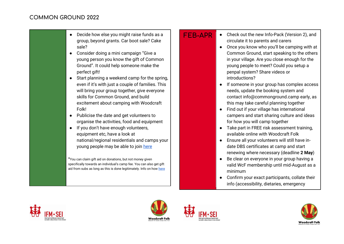● Decide how else you might raise funds as a group, beyond grants. Car boot sale? Cake sale?

- Consider doing a mini campaign "Give a young person you know the gift of Common Ground". It could help someone make the perfect gift!
- Start planning a weekend camp for the spring, even if it's with just a couple of families. This will bring your group together, give everyone skills for Common Ground, and build excitement about camping with Woodcraft Folk!
- Publicise the date and get volunteers to organise the activities, food and equipment
- If you don't have enough volunteers, equipment etc, have a look at national/regional residentials and camps your young people may be able to join [here](https://woodcraft.org.uk/calendar)

\*You can claim gift aid on donations, but not money given specifically towards an individual's camp fee. You can also get gift aid from subs as long as this is done legitimately. Info on how [here](https://www.commonground.camp/fundraising/gift-aid/)

- **FFB-APR** Check out the new Info-Pack (Version 2), and circulate it to parents and carers
	- Once you know who you'll be camping with at Common Ground, start speaking to the others in your village. Are you close enough for the young people to meet? Could you setup a penpal system? Share videos or introductions?
	- If someone in your group has complex access needs, update the booking system and contact info@commonground.camp early, as this may take careful planning together
	- Find out if your village has international campers and start sharing culture and ideas for how you will camp together
	- Take part in FREE risk assessment training, available online with Woodcraft Folk
	- Ensure all your volunteers will still have indate DBS certificates at camp and start renewing where necessary (deadline **2 May**)
	- Be clear on everyone in your group having a valid WcF membership until mid-August as a minimum
	- Confirm your exact participants, collate their info (accessibility, dietaries, emergency







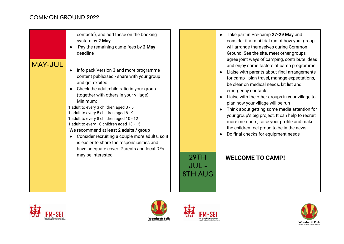## **COMMON GROUND 2022**

|                | contacts), and add these on the booking<br>system by 2 May<br>Pay the remaining camp fees by 2 May<br>deadline                                                                                                                                                                                                                                                                                                                                                                                                                                                                      |                         | Take part in Pre-camp 27-29 May and<br>consider it a mini trial run of how your group<br>will arrange themselves during Common<br>Ground. See the site, meet other groups,<br>agree joint ways of camping, contribute ideas                                                                                                                                                                                                                                                                                                              |
|----------------|-------------------------------------------------------------------------------------------------------------------------------------------------------------------------------------------------------------------------------------------------------------------------------------------------------------------------------------------------------------------------------------------------------------------------------------------------------------------------------------------------------------------------------------------------------------------------------------|-------------------------|------------------------------------------------------------------------------------------------------------------------------------------------------------------------------------------------------------------------------------------------------------------------------------------------------------------------------------------------------------------------------------------------------------------------------------------------------------------------------------------------------------------------------------------|
| <b>MAY-JUL</b> | Info pack Version 3 and more programme<br>content publicised - share with your group<br>and get excited!<br>Check the adult:child ratio in your group<br>(together with others in your village).<br>Minimum:<br>1 adult to every 3 children aged 0 - 5<br>1 adult to every 5 children aged 6 - 9<br>1 adult to every 8 children aged 10 - 12<br>1 adult to every 10 children aged 13 - 15<br>We recommend at least 2 adults / group<br>Consider recruiting a couple more adults, so it<br>is easier to share the responsibilities and<br>have adequate cover. Parents and local DFs |                         | and enjoy some tasters of camp programme!<br>Liaise with parents about final arrangements<br>for camp - plan travel, manage expectations,<br>be clear on medical needs, kit list and<br>emergency contacts<br>Liaise with the other groups in your village to<br>plan how your village will be run<br>Think about getting some media attention for<br>your group's big project. It can help to recruit<br>more members, raise your profile and make<br>the children feel proud to be in the news!<br>Do final checks for equipment needs |
|                | may be interested                                                                                                                                                                                                                                                                                                                                                                                                                                                                                                                                                                   | 29TH<br>JUL-<br>8TH AUG | <b>WELCOME TO CAMP!</b>                                                                                                                                                                                                                                                                                                                                                                                                                                                                                                                  |